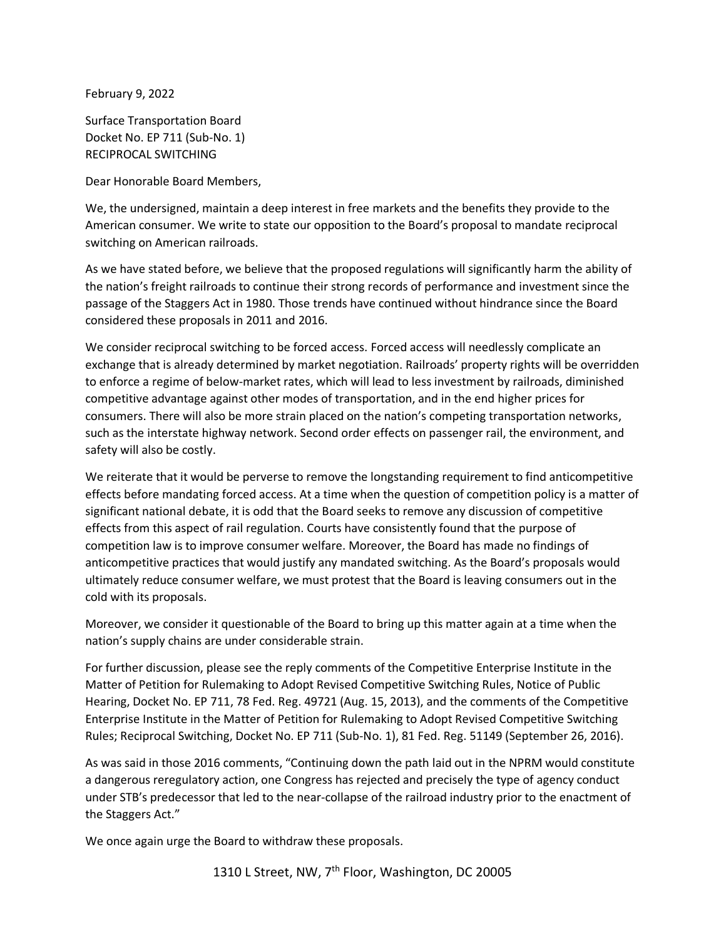February 9, 2022

Surface Transportation Board Docket No. EP 711 (Sub-No. 1) RECIPROCAL SWITCHING

Dear Honorable Board Members,

We, the undersigned, maintain a deep interest in free markets and the benefits they provide to the American consumer. We write to state our opposition to the Board's proposal to mandate reciprocal switching on American railroads.

As we have stated before, we believe that the proposed regulations will significantly harm the ability of the nation's freight railroads to continue their strong records of performance and investment since the passage of the Staggers Act in 1980. Those trends have continued without hindrance since the Board considered these proposals in 2011 and 2016.

We consider reciprocal switching to be forced access. Forced access will needlessly complicate an exchange that is already determined by market negotiation. Railroads' property rights will be overridden to enforce a regime of below-market rates, which will lead to less investment by railroads, diminished competitive advantage against other modes of transportation, and in the end higher prices for consumers. There will also be more strain placed on the nation's competing transportation networks, such as the interstate highway network. Second order effects on passenger rail, the environment, and safety will also be costly.

We reiterate that it would be perverse to remove the longstanding requirement to find anticompetitive effects before mandating forced access. At a time when the question of competition policy is a matter of significant national debate, it is odd that the Board seeks to remove any discussion of competitive effects from this aspect of rail regulation. Courts have consistently found that the purpose of competition law is to improve consumer welfare. Moreover, the Board has made no findings of anticompetitive practices that would justify any mandated switching. As the Board's proposals would ultimately reduce consumer welfare, we must protest that the Board is leaving consumers out in the cold with its proposals.

Moreover, we consider it questionable of the Board to bring up this matter again at a time when the nation's supply chains are under considerable strain.

For further discussion, please see the reply comments of the Competitive Enterprise Institute in the Matter of Petition for Rulemaking to Adopt Revised Competitive Switching Rules, Notice of Public Hearing, Docket No. EP 711, 78 Fed. Reg. 49721 (Aug. 15, 2013), and the comments of the Competitive Enterprise Institute in the Matter of Petition for Rulemaking to Adopt Revised Competitive Switching Rules; Reciprocal Switching, Docket No. EP 711 (Sub-No. 1), 81 Fed. Reg. 51149 (September 26, 2016).

As was said in those 2016 comments, "Continuing down the path laid out in the NPRM would constitute a dangerous reregulatory action, one Congress has rejected and precisely the type of agency conduct under STB's predecessor that led to the near-collapse of the railroad industry prior to the enactment of the Staggers Act."

We once again urge the Board to withdraw these proposals.

1310 L Street, NW, 7<sup>th</sup> Floor, Washington, DC 20005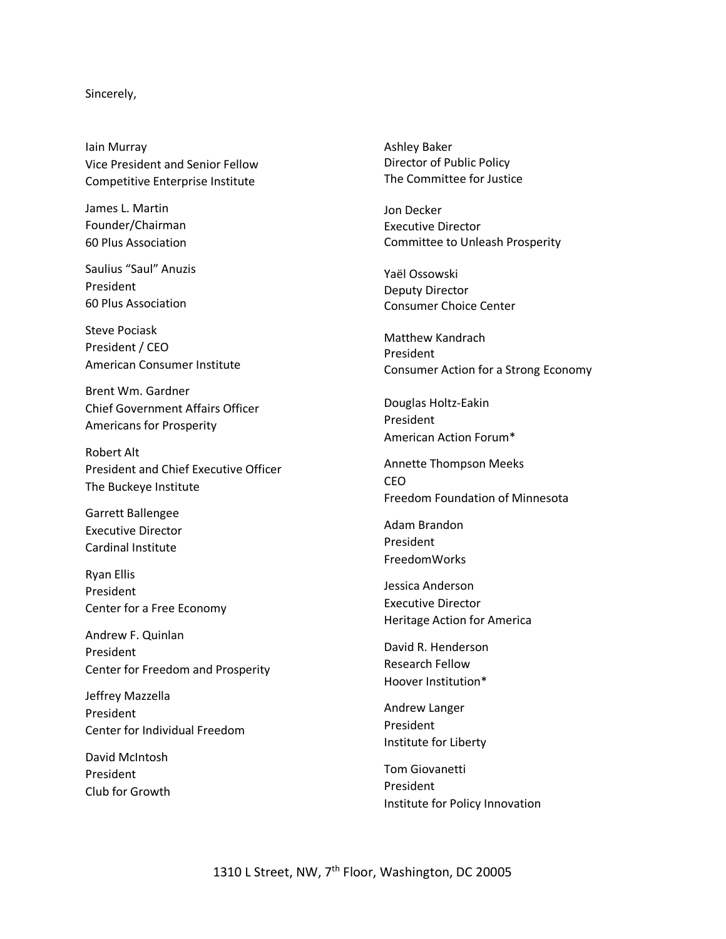## Sincerely,

Iain Murray Vice President and Senior Fellow Competitive Enterprise Institute

James L. Martin Founder/Chairman 60 Plus Association

Saulius "Saul" Anuzis President 60 Plus Association

Steve Pociask President / CEO American Consumer Institute

Brent Wm. Gardner Chief Government Affairs Officer Americans for Prosperity

Robert Alt President and Chief Executive Officer The Buckeye Institute

Garrett Ballengee Executive Director Cardinal Institute

Ryan Ellis President Center for a Free Economy

Andrew F. Quinlan President Center for Freedom and Prosperity

Jeffrey Mazzella President Center for Individual Freedom

David McIntosh President Club for Growth Ashley Baker Director of Public Policy The Committee for Justice

Jon Decker Executive Director Committee to Unleash Prosperity

Yaël Ossowski Deputy Director Consumer Choice Center

Matthew Kandrach President Consumer Action for a Strong Economy

Douglas Holtz-Eakin President American Action Forum\*

Annette Thompson Meeks CEO Freedom Foundation of Minnesota

Adam Brandon President FreedomWorks

Jessica Anderson Executive Director Heritage Action for America

David R. Henderson Research Fellow Hoover Institution\*

Andrew Langer President Institute for Liberty

Tom Giovanetti President Institute for Policy Innovation